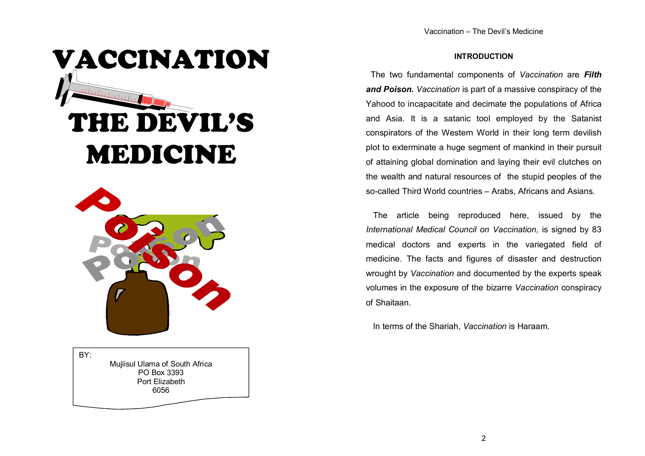#### INTRODUCTION

The two fundamental components of Vaccination are Filth and Poison. Vaccination is part of a massive conspiracy of the Yahood to incapacitate and decimate the populations of Africa and Asia. It is a satanic tool employed by the Satanist conspirators of the Western World in their long term devilish plot to exterminate a huge segment of mankind in their pursuit of attaining global domination and laying their evil clutches on the wealth and natural resources of the stupid peoples of the so-called Third World countries – Arabs, Africans and Asians.

 The article being reproduced here, issued by theInternational Medical Council on Vaccination, is signed by 83 medical doctors and experts in the variegated field of medicine. The facts and figures of disaster and destruction wrought by Vaccination and documented by the experts speak volumes in the exposure of the bizarre Vaccination conspiracy of Shaitaan.

In terms of the Shariah, Vaccination is Haraam.

THE DEVIL'S MEDICINE

VACCINATION



BY: Mujlisul Ulama of South Africa PO Box 3393 Port Elizabeth 6056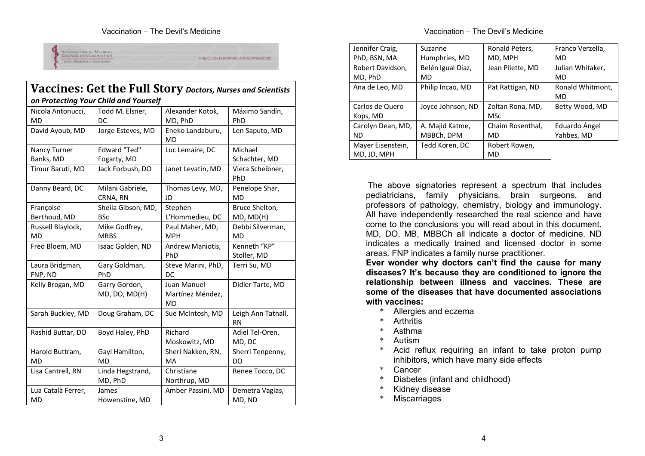#### Vaccination – The Devil's Medicine



| Vaccines: Get the Full Story Doctors, Nurses and Scientists |                                       |                                       |                                 |  |
|-------------------------------------------------------------|---------------------------------------|---------------------------------------|---------------------------------|--|
|                                                             | on Protecting Your Child and Yourself |                                       |                                 |  |
| Nicola Antonucci,<br>MD                                     | Todd M. Elsner,<br>DC.                | Alexander Kotok,<br>MD, PhD           | Máximo Sandín,<br>PhD           |  |
| David Ayoub, MD                                             | Jorge Esteves, MD                     | Eneko Landaburu,<br><b>MD</b>         | Len Saputo, MD                  |  |
| Nancy Turner<br>Banks, MD                                   | <b>Edward "Ted"</b><br>Fogarty, MD    | Luc Lemaire, DC                       | Michael<br>Schachter, MD        |  |
| Timur Baruti, MD                                            | Jack Forbush, DO                      | Janet Levatin, MD                     | Viera Scheibner,<br>PhD         |  |
| Danny Beard, DC                                             | Milani Gabriele,<br>CRNA, RN          | Thomas Levy, MD,<br>JD                | Penelope Shar,<br>MD            |  |
| Françoise<br>Berthoud, MD                                   | Sheila Gibson, MD,<br><b>BSc</b>      | Stephen<br>L'Hommedieu, DC            | Bruce Shelton,<br>MD, MD(H)     |  |
| Russell Blaylock,<br><b>MD</b>                              | Mike Godfrey,<br><b>MBBS</b>          | Paul Maher, MD,<br><b>MPH</b>         | Debbi Silverman,<br><b>MD</b>   |  |
| Fred Bloem, MD                                              | Isaac Golden, ND                      | Andrew Maniotis,<br>PhD               | Kenneth "KP"<br>Stoller, MD     |  |
| Laura Bridgman,<br>FNP, ND                                  | Gary Goldman,<br>PhD                  | Steve Marini, PhD,<br>DC              | Terri Su, MD                    |  |
| Kelly Brogan, MD                                            | Garry Gordon,<br>MD, DO, MD(H)        | Juan Manuel<br>Martínez Méndez,<br>MD | Didier Tarte, MD                |  |
| Sarah Buckley, MD                                           | Doug Graham, DC                       | Sue McIntosh, MD                      | Leigh Ann Tatnall,<br><b>RN</b> |  |
| Rashid Buttar, DO                                           | Boyd Haley, PhD                       | Richard<br>Moskowitz, MD              | Adiel Tel-Oren,<br>MD, DC       |  |
| Harold Buttram,<br><b>MD</b>                                | Gayl Hamilton,<br><b>MD</b>           | Sheri Nakken, RN,<br>MA               | Sherri Tenpenny,<br>DO          |  |
| Lisa Cantrell, RN                                           | Linda Hegstrand,<br>MD, PhD           | Christiane<br>Northrup, MD            | Renee Tocco, DC                 |  |
| Lua Català Ferrer,<br>MD                                    | James<br>Howenstine, MD               | Amber Passini, MD                     | Demetra Vagias,<br>MD, ND       |  |

#### Vaccination – The Devil's Medicine

| Jennifer Craig,   | Suzanne           | Ronald Peters,   | Franco Verzella, |
|-------------------|-------------------|------------------|------------------|
| PhD, BSN, MA      | Humphries, MD     | MD, MPH          | MD               |
| Robert Davidson,  | Belén Igual Diaz, | Jean Pilette, MD | Julian Whitaker, |
| MD, PhD           | MD                |                  | MD               |
| Ana de Leo, MD    | Philip Incao, MD  | Pat Rattigan, ND | Ronald Whitmont, |
|                   |                   |                  | MD               |
| Carlos de Quero   | Joyce Johnson, ND | Zoltan Rona, MD, | Betty Wood, MD   |
| Kops, MD          |                   | <b>MSc</b>       |                  |
| Carolyn Dean, MD, | A. Majid Katme,   | Chaim Rosenthal, | Eduardo Ángel    |
| ND                | MBBCh, DPM        | MD               | Yahbes, MD       |
| Mayer Eisenstein, | Tedd Koren, DC    | Robert Rowen,    |                  |
| MD, JD, MPH       |                   | MD               |                  |

The above signatories represent a spectrum that includes pediatricians, family physicians, brain surgeons, and professors of pathology, chemistry, biology and immunology. All have independently researched the real science and have come to the conclusions you will read about in this document. MD, DO, MB, MBBCh all indicate a doctor of medicine. ND indicates a medically trained and licensed doctor in some areas. FNP indicates a family nurse practitioner.

 Ever wonder why doctors can't find the cause for many diseases? It's because they are conditioned to ignore the relationship between illness and vaccines. These are some of the diseases that have documented associations with vaccines:

- \* Allergies and eczema
- \* Arthritis
- \* Asthma
- \* Autism
- \* Acid reflux requiring an infant to take proton pump inhibitors, which have many side effects
- \* Cancer
- \* Diabetes (infant and childhood)
- \* Kidney disease
- \* Miscarriages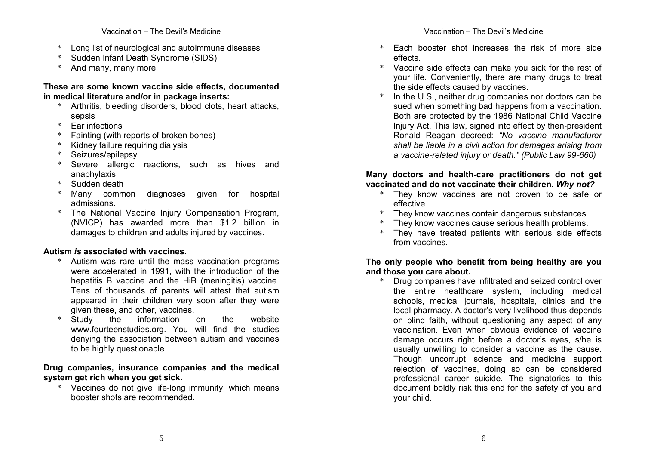- Long list of neurological and autoimmune diseases
- \* Sudden Infant Death Syndrome (SIDS)
- And many, many more

#### These are some known vaccine side effects, documented in medical literature and/or in package inserts:

- \* Arthritis, bleeding disorders, blood clots, heart attacks, sepsis
- \* Ear infections
- \* Fainting (with reports of broken bones)
- Kidney failure requiring dialysis
- \* Seizures/epilepsy
- \* Severe allergic reactions, such as hives and anaphylaxis
- \* Sudden death
- \* Many common diagnoses given for hospital admissions.
- \* The National Vaccine Injury Compensation Program, (NVICP) has awarded more than \$1.2 billion in damages to children and adults injured by vaccines.

# Autism is associated with vaccines.

- \* Autism was rare until the mass vaccination programs were accelerated in 1991, with the introduction of the hepatitis B vaccine and the HiB (meningitis) vaccine. Tens of thousands of parents will attest that autism appeared in their children very soon after they were given these, and other, vaccines.
- $on$ \* Study the information on the website www.fourteenstudies.org. You will find the studies denying the association between autism and vaccinesto be highly questionable.

## Drug companies, insurance companies and the medicalsystem get rich when you get sick.

 \* Vaccines do not give life‐long immunity, which means booster shots are recommended.

- Each booster shot increases the risk of more side effects.
- \* Vaccine side effects can make you sick for the rest of your life. Conveniently, there are many drugs to treat the side effects caused by vaccines.
- \* In the U.S., neither drug companies nor doctors can be sued when something bad happens from a vaccination. Both are protected by the 1986 National Child Vaccine Injury Act. This law, signed into effect by then‐president Ronald Reagan decreed: "No vaccine manufacturer shall be liable in a civil action for damages arising from a vaccine‐related injury or death." (Public Law 99‐660)

#### Many doctors and health‐care practitioners do not get vaccinated and do not vaccinate their children. Why not?

- \* They know vaccines are not proven to be safe or effective.
- \* They know vaccines contain dangerous substances.
- \* They know vaccines cause serious health problems.
- \* They have treated patients with serious side effects from vaccines.

## The only people who benefit from being healthy are you and those you care about.

 \* Drug companies have infiltrated and seized control over the entire healthcare system, including medical schools, medical journals, hospitals, clinics and the local pharmacy. A doctor's very livelihood thus depends on blind faith, without questioning any aspect of any vaccination. Even when obvious evidence of vaccine damage occurs right before a doctor's eyes, s/he is usually unwilling to consider a vaccine as the cause. Though uncorrupt science and medicine support rejection of vaccines, doing so can be considered professional career suicide. The signatories to this document boldly risk this end for the safety of you and your child.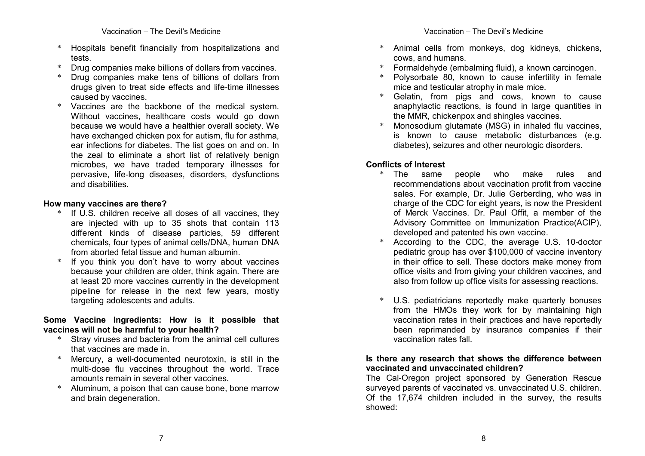- \* Hospitals benefit financially from hospitalizations and tests.
- \* Drug companies make billions of dollars from vaccines.
- \* Drug companies make tens of billions of dollars from drugs given to treat side effects and life‐time illnesses caused by vaccines.
- \* Vaccines are the backbone of the medical system. Without vaccines, healthcare costs would go down because we would have a healthier overall society. We have exchanged chicken pox for autism, flu for asthma, ear infections for diabetes. The list goes on and on. In the zeal to eliminate a short list of relatively benign microbes, we have traded temporary illnesses for pervasive, life‐long diseases, disorders, dysfunctions and disabilities.

#### How many vaccines are there?

- \* If U.S. children receive all doses of all vaccines, they are injected with up to 35 shots that contain 113 different kinds of disease particles, 59 different chemicals, four types of animal cells/DNA, human DNA from aborted fetal tissue and human albumin.
- \* If you think you don't have to worry about vaccines because your children are older, think again. There are at least 20 more vaccines currently in the development pipeline for release in the next few years, mostly targeting adolescents and adults.

## Some Vaccine Ingredients: How is it possible that vaccines will not be harmful to your health?

- \* Stray viruses and bacteria from the animal cell cultures that vaccines are made in.
- \* Mercury, a well‐documented neurotoxin, is still in the multi‐dose flu vaccines throughout the world. Trace amounts remain in several other vaccines.
- \* Aluminum, a poison that can cause bone, bone marrow and brain degeneration.
- \* Animal cells from monkeys, dog kidneys, chickens, cows, and humans.
- \* Formaldehyde (embalming fluid), a known carcinogen.
- Polysorbate 80, known to cause infertility in female mice and testicular atrophy in male mice.
- \* Gelatin, from pigs and cows, known to cause anaphylactic reactions, is found in large quantities in the MMR, chickenpox and shingles vaccines.
- \* Monosodium glutamate (MSG) in inhaled flu vaccines, is known to cause metabolic disturbances (e.g. diabetes), seizures and other neurologic disorders.

# Conflicts of Interest

- \* The same people who make rules and recommendations about vaccination profit from vaccine sales. For example, Dr. Julie Gerberding, who was in charge of the CDC for eight years, is now the President of Merck Vaccines. Dr. Paul Offit, a member of the Advisory Committee on Immunization Practice(ACIP), developed and patented his own vaccine.
- \* According to the CDC, the average U.S. 10‐doctor pediatric group has over \$100,000 of vaccine inventory in their office to sell. These doctors make money from office visits and from giving your children vaccines, and also from follow up office visits for assessing reactions.
- U.S. pediatricians reportedly make quarterly bonuses from the HMOs they work for by maintaining high vaccination rates in their practices and have reportedly been reprimanded by insurance companies if their vaccination rates fall.

## Is there any research that shows the difference between vaccinated and unvaccinated children?

 The Cal‐Oregon project sponsored by Generation Rescue surveyed parents of vaccinated vs. unvaccinated U.S. children. Of the 17,674 children included in the survey, the results showed: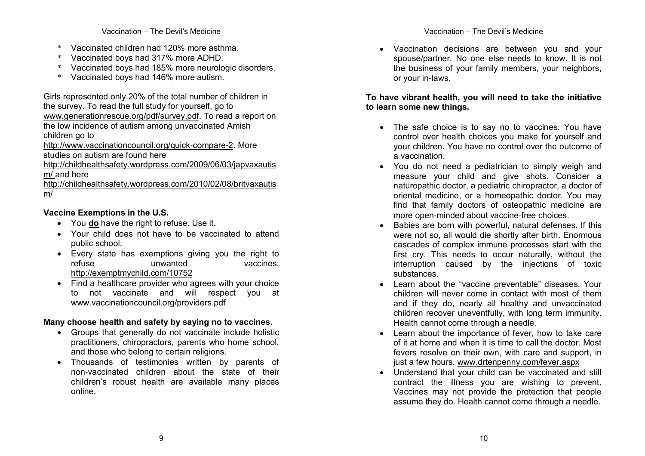- \* Vaccinated children had 120% more asthma.
- \* Vaccinated boys had 317% more ADHD.
- \* Vaccinated boys had 185% more neurologic disorders.
- \* Vaccinated boys had 146% more autism.

Girls represented only 20% of the total number of children in the survey. To read the full study for yourself, go to www.generationrescue.org/pdf/survey.pdf. To read a report on the low incidence of autism among unvaccinated Amish children go to

http://www.vaccinationcouncil.org/quick-compare-2. More studies on autism are found here

 http://childhealthsafety.wordpress.com/2009/06/03/japvaxautism/ and here

 http://childhealthsafety.wordpress.com/2010/02/08/britvaxautism/

# Vaccine Exemptions in the U.S.

- You **do** have the right to refuse. Use it.
- Your child does not have to be vaccinated to attend public school.
- Every state has exemptions giving you the right tovaccines. refuse unwanted http://exemptmychild.com/10752
- Find a healthcare provider who agrees with your choice to not vaccinate and will respect you at www.vaccinationcouncil.org/providers.pdf

# Many choose health and safety by saying no to vaccines.

- Groups that generally do not vaccinate include holistic practitioners, chiropractors, parents who home school, and those who belong to certain religions.
- Thousands of testimonies written by parents of non‐vaccinated children about the state of their children's robust health are available many places online.

• Vaccination decisions are between you and your spouse/partner. No one else needs to know. It is not the business of your family members, your neighbors, or your in‐laws.

# To have vibrant health, you will need to take the initiative to learn some new things.

- The safe choice is to say no to vaccines. You have control over health choices you make for yourself and your children. You have no control over the outcome of a vaccination.
- You do not need a pediatrician to simply weigh and measure your child and give shots. Consider a naturopathic doctor, a pediatric chiropractor, a doctor of oriental medicine, or a homeopathic doctor. You may find that family doctors of osteopathic medicine are more open‐minded about vaccine‐free choices.
- Babies are born with powerful, natural defenses. If this were not so, all would die shortly after birth. Enormous cascades of complex immune processes start with the first cry. This needs to occur naturally, without the interruption caused by the injections of toxic substances.
- Learn about the "vaccine preventable" diseases. Your children will never come in contact with most of them and if they do, nearly all healthy and unvaccinated children recover uneventfully, with long term immunity. Health cannot come through a needle.
- Learn about the importance of fever, how to take care of it at home and when it is time to call the doctor. Most fevers resolve on their own, with care and support, in just a few hours. www.drtenpenny.com/fever.aspx
- Understand that your child can be vaccinated and still contract the illness you are wishing to prevent. Vaccines may not provide the protection that peopleassume they do. Health cannot come through a needle.